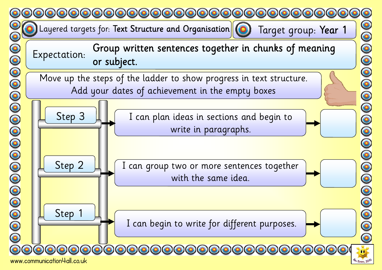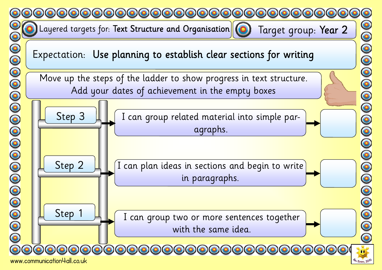

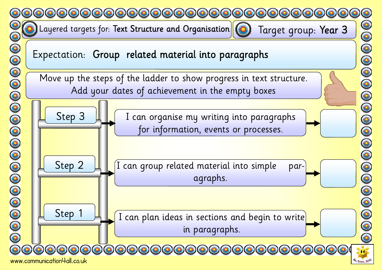



0000000000000000

 $\bar{\bullet}$ 

www.communication4all.co.uk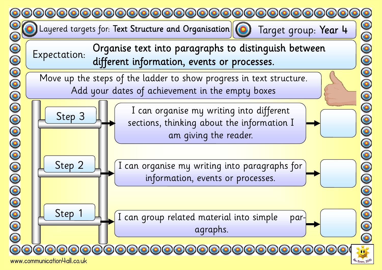

www.communication4all.co.uk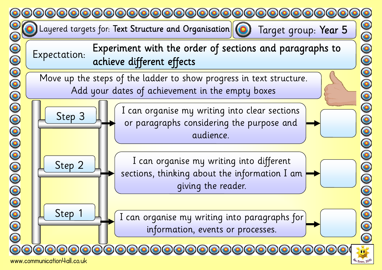